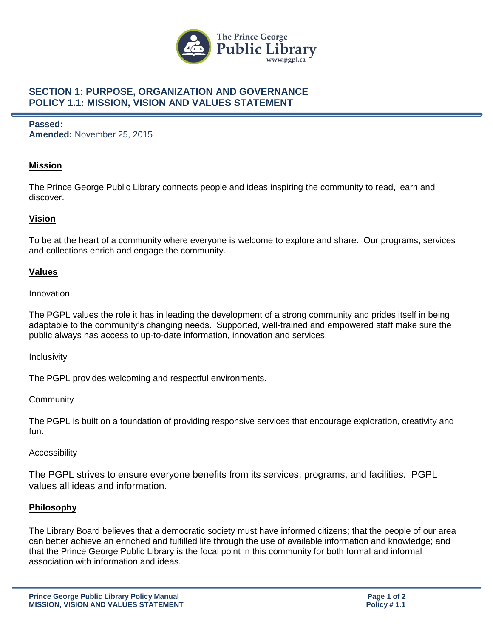

## **SECTION 1: PURPOSE, ORGANIZATION AND GOVERNANCE POLICY 1.1: MISSION, VISION AND VALUES STATEMENT**

## **Passed: Amended:** November 25, 2015

## **Mission**

The Prince George Public Library connects people and ideas inspiring the community to read, learn and discover.

## **Vision**

To be at the heart of a community where everyone is welcome to explore and share. Our programs, services and collections enrich and engage the community.

#### **Values**

Innovation

The PGPL values the role it has in leading the development of a strong community and prides itself in being adaptable to the community's changing needs. Supported, well-trained and empowered staff make sure the public always has access to up-to-date information, innovation and services.

Inclusivity

The PGPL provides welcoming and respectful environments.

**Community** 

The PGPL is built on a foundation of providing responsive services that encourage exploration, creativity and fun.

#### Accessibility

The PGPL strives to ensure everyone benefits from its services, programs, and facilities. PGPL values all ideas and information.

#### **Philosophy**

The Library Board believes that a democratic society must have informed citizens; that the people of our area can better achieve an enriched and fulfilled life through the use of available information and knowledge; and that the Prince George Public Library is the focal point in this community for both formal and informal association with information and ideas.